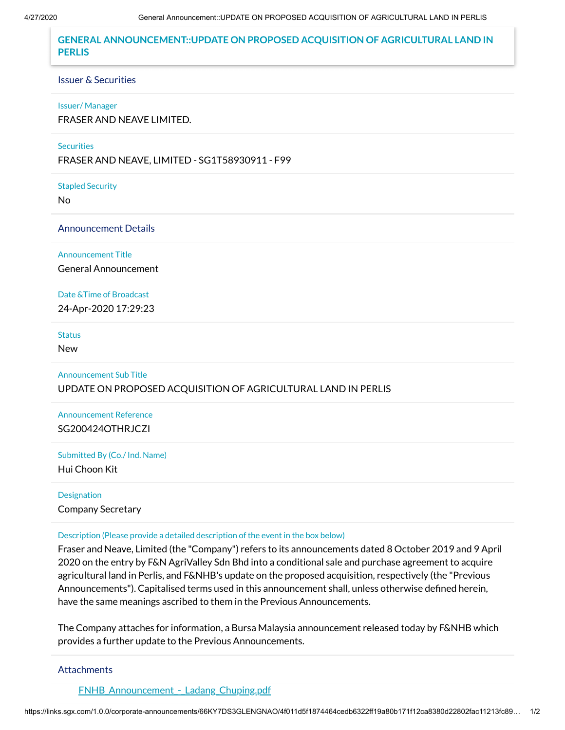# **GENERAL ANNOUNCEMENT::UPDATE ON PROPOSED ACQUISITION OF AGRICULTURAL LAND IN PERLIS**

### Issuer & Securities

#### Issuer/ Manager

FRASER AND NEAVE LIMITED.

## **Securities**

FRASER AND NEAVE, LIMITED - SG1T58930911 - F99

Stapled Security

No

## Announcement Details

Announcement Title

General Announcement

## Date &Time of Broadcast

24-Apr-2020 17:29:23

# **Status**

New

# Announcement Sub Title UPDATE ON PROPOSED ACQUISITION OF AGRICULTURAL LAND IN PERLIS

Announcement Reference SG200424OTHRJCZI

Submitted By (Co./ Ind. Name) Hui Choon Kit

Designation Company Secretary

#### Description (Please provide a detailed description of the event in the box below)

Fraser and Neave, Limited (the "Company") refers to its announcements dated 8 October 2019 and 9 April 2020 on the entry by F&N AgriValley Sdn Bhd into a conditional sale and purchase agreement to acquire agricultural land in Perlis, and F&NHB's update on the proposed acquisition, respectively (the "Previous Announcements"). Capitalised terms used in this announcement shall, unless otherwise defined herein, have the same meanings ascribed to them in the Previous Announcements.

The Company attaches for information, a Bursa Malaysia announcement released today by F&NHB which provides a further update to the Previous Announcements.

## **Attachments**

FNHB Announcement - Ladang Chuping.pdf